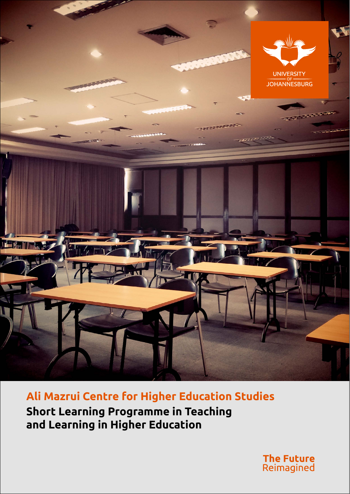

**Ali Mazrui Centre for Higher Education Studies Short Learning Programme in Teaching and Learning in Higher Education** 

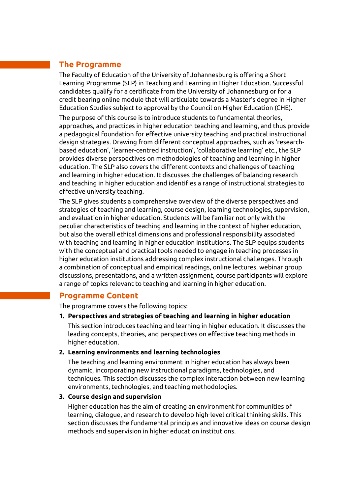## **The Programme**

The Faculty of Education of the University of Johannesburg is offering a Short Learning Programme (SLP) in Teaching and Learning in Higher Education. Successful candidates qualify for a certificate from the University of Johannesburg or for a credit bearing online module that will articulate towards a Master's degree in Higher Education Studies subject to approval by the Council on Higher Education (CHE).

The purpose of this course is to introduce students to fundamental theories, approaches, and practices in higher education teaching and learning, and thus provide a pedagogical foundation for effective university teaching and practical instructional design strategies. Drawing from different conceptual approaches, such as 'researchbased education', 'learner-centred instruction', 'collaborative learning' etc., the SLP provides diverse perspectives on methodologies of teaching and learning in higher education. The SLP also covers the different contexts and challenges of teaching and learning in higher education. It discusses the challenges of balancing research and teaching in higher education and identifies a range of instructional strategies to effective university teaching.

The SLP gives students a comprehensive overview of the diverse perspectives and strategies of teaching and learning, course design, learning technologies, supervision, and evaluation in higher education. Students will be familiar not only with the peculiar characteristics of teaching and learning in the context of higher education, but also the overall ethical dimensions and professional responsibility associated with teaching and learning in higher education institutions. The SLP equips students with the conceptual and practical tools needed to engage in teaching processes in higher education institutions addressing complex instructional challenges. Through a combination of conceptual and empirical readings, online lectures, webinar group discussions, presentations, and a written assignment, course participants will explore a range of topics relevant to teaching and learning in higher education.

### **Programme Content**

The programme covers the following topics:

**1. Perspectives and strategies of teaching and learning in higher education**

This section introduces teaching and learning in higher education. It discusses the leading concepts, theories, and perspectives on effective teaching methods in higher education.

#### **2. Learning environments and learning technologies**

The teaching and learning environment in higher education has always been dynamic, incorporating new instructional paradigms, technologies, and techniques. This section discusses the complex interaction between new learning environments, technologies, and teaching methodologies.

#### **3. Course design and supervision**

Higher education has the aim of creating an environment for communities of learning, dialogue, and research to develop high-level critical thinking skills. This section discusses the fundamental principles and innovative ideas on course design methods and supervision in higher education institutions.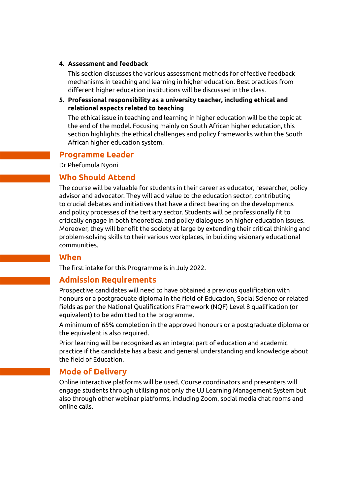#### **4. Assessment and feedback**

This section discusses the various assessment methods for effective feedback mechanisms in teaching and learning in higher education. Best practices from different higher education institutions will be discussed in the class.

**5. Professional responsibility as a university teacher, including ethical and relational aspects related to teaching**

The ethical issue in teaching and learning in higher education will be the topic at the end of the model. Focusing mainly on South African higher education, this section highlights the ethical challenges and policy frameworks within the South African higher education system.

#### **Programme Leader**

Dr Phefumula Nyoni

### **Who Should Attend**

The course will be valuable for students in their career as educator, researcher, policy advisor and advocator. They will add value to the education sector, contributing to crucial debates and initiatives that have a direct bearing on the developments and policy processes of the tertiary sector. Students will be professionally fit to critically engage in both theoretical and policy dialogues on higher education issues. Moreover, they will benefit the society at large by extending their critical thinking and problem-solving skills to their various workplaces, in building visionary educational communities.

#### **When**

The first intake for this Programme is in July 2022.

### **Admission Requirements**

Prospective candidates will need to have obtained a previous qualification with honours or a postgraduate diploma in the field of Education, Social Science or related fields as per the National Qualifications Framework (NQF) Level 8 qualification (or equivalent) to be admitted to the programme.

A minimum of 65% completion in the approved honours or a postgraduate diploma or the equivalent is also required.

Prior learning will be recognised as an integral part of education and academic practice if the candidate has a basic and general understanding and knowledge about the field of Education.

### **Mode of Delivery**

Online interactive platforms will be used. Course coordinators and presenters will engage students through utilising not only the UJ Learning Management System but also through other webinar platforms, including Zoom, social media chat rooms and online calls.